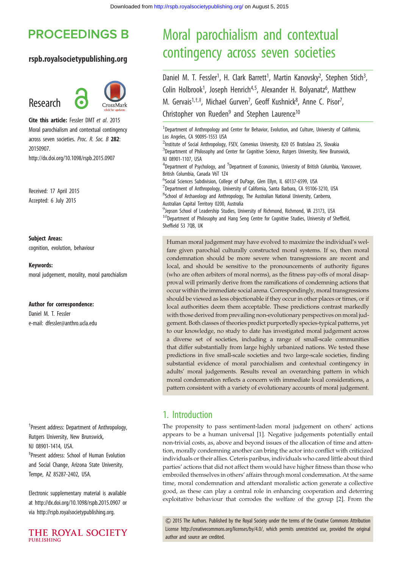## **PROCEEDINGS B**

#### rspb.royalsocietypublishing.org



Cite this article: Fessler DMT et al. 2015 Moral parochialism and contextual contingency across seven societies. Proc. R. Soc. B 282: 20150907. http://dx.doi.org/10.1098/rspb.2015.0907

Received: 17 April 2015 Accepted: 6 July 2015

Research

Subject Areas: cognition, evolution, behaviour

#### Keywords:

moral judgement, morality, moral parochialism

#### Author for correspondence:

Daniel M. T. Fessler e-mail: [dfessler@anthro.ucla.edu](mailto:dfessler@anthro.ucla.edu)

† Present address: Department of Anthropology, Rutgers University, New Brunswick, NJ 08901-1414, USA. ‡ Present address: School of Human Evolution and Social Change, Arizona State University, Tempe, AZ 85287-2402, USA.

Electronic supplementary material is available at http://dx.doi.org/10.1098/rspb.2015.0907 or via http://rspb.royalsocietypublishing.org.



# Moral parochialism and contextual contingency across seven societies

Daniel M. T. Fessler<sup>1</sup>, H. Clark Barrett<sup>1</sup>, Martin Kanovsky<sup>2</sup>, Stephen Stich<sup>3</sup> , Colin Holbrook<sup>1</sup>, Joseph Henrich<sup>4,5</sup>, Alexander H. Bolyanatz<sup>6</sup>, Matthew M. Gervais<sup>1,†,‡</sup>, Michael Gurven<sup>7</sup>, Geoff Kushnick<sup>8</sup>, Anne C. Pisor<sup>7</sup> , Christopher von Rueden<sup>9</sup> and Stephen Laurence<sup>10</sup>

<sup>1</sup>Department of Anthropology and Center for Behavior, Evolution, and Culture, University of California, Los Angeles, CA 90095-1553 USA <sup>2</sup>Institute of Social Anthropology, FSEV, Comenius University, 820 05 Bratislava 25, Slovakia <sup>3</sup>Department of Philosophy and Center for Cognitive Science, Rutgers University, New Brunswick, NJ 08901-1107, USA <sup>4</sup>Department of Psychology, and <sup>5</sup>Department of Economics, University of British Columbia, Vancouver, British Columbia, Canada V6T 1Z4 <sup>6</sup>Social Sciences Subdivision, College of DuPage, Glen Ellyn, IL 60137-6599, USA 7 Department of Anthropology, University of California, Santa Barbara, CA 93106-3210, USA <sup>8</sup>School of Archaeology and Anthropology, The Australian National University, Canberra, Australian Capital Territory 0200, Australia <sup>9</sup> Jepson School of Leadership Studies, University of Richmond, Richmond, VA 23173, USA  $^{10}$ Department of Philosophy and Hang Seng Centre for Cognitive Studies, University of Sheffield, Sheffield S3 7QB, UK

Human moral judgement may have evolved to maximize the individual's welfare given parochial culturally constructed moral systems. If so, then moral condemnation should be more severe when transgressions are recent and local, and should be sensitive to the pronouncements of authority figures (who are often arbiters of moral norms), as the fitness pay-offs of moral disapproval will primarily derive from the ramifications of condemning actions that occur within the immediate social arena. Correspondingly, moral transgressions should be viewed as less objectionable if they occur in other places or times, or if local authorities deem them acceptable. These predictions contrast markedly with those derived from prevailing non-evolutionary perspectives on moral judgement. Both classes of theories predict purportedly species-typical patterns, yet to our knowledge, no study to date has investigated moral judgement across a diverse set of societies, including a range of small-scale communities that differ substantially from large highly urbanized nations. We tested these predictions in five small-scale societies and two large-scale societies, finding substantial evidence of moral parochialism and contextual contingency in adults' moral judgements. Results reveal an overarching pattern in which moral condemnation reflects a concern with immediate local considerations, a pattern consistent with a variety of evolutionary accounts of moral judgement.

## 1. Introduction

The propensity to pass sentiment-laden moral judgement on others' actions appears to be a human universal [\[1\]](#page-5-0). Negative judgements potentially entail non-trivial costs, as, above and beyond issues of the allocation of time and attention, morally condemning another can bring the actor into conflict with criticized individuals or their allies. Ceteris paribus, individuals who cared little about third parties' actions that did not affect them would have higher fitness than those who embroiled themselves in others' affairs through moral condemnation. At the same time, moral condemnation and attendant moralistic action generate a collective good, as these can play a central role in enhancing cooperation and deterring exploitative behaviour that corrodes the welfare of the group [\[2\]](#page-5-0). From the

& 2015 The Authors. Published by the Royal Society under the terms of the Creative Commons Attribution License [http://creativecommons.org/licenses/by/4.0/, which permits unrestricted use, provided the original](http://creativecommons.org/licenses/by/4.0/) [author and source are credited.](http://creativecommons.org/licenses/by/4.0/)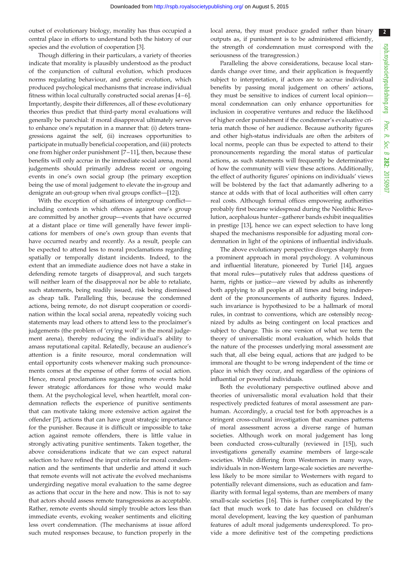outset of evolutionary biology, morality has thus occupied a central place in efforts to understand both the history of our species and the evolution of cooperation [\[3\]](#page-5-0).

Though differing in their particulars, a variety of theories indicate that morality is plausibly understood as the product of the conjunction of cultural evolution, which produces norms regulating behaviour, and genetic evolution, which produced psychological mechanisms that increase individual fitness within local culturally constructed social arenas [\[4](#page-5-0) –[6](#page-5-0)]. Importantly, despite their differences, all of these evolutionary theories thus predict that third-party moral evaluations will generally be parochial: if moral disapproval ultimately serves to enhance one's reputation in a manner that: (i) deters transgressions against the self, (ii) increases opportunities to participate in mutually beneficial cooperation, and (iii) protects one from higher order punishment [\[7](#page-5-0)–[11](#page-5-0)], then, because these benefits will only accrue in the immediate social arena, moral judgements should primarily address recent or ongoing events in one's own social group (the primary exception being the use of moral judgement to elevate the in-group and denigrate an out-group when rival groups conflict—[\[12](#page-5-0)]).

With the exception of situations of intergroup conflict including contexts in which offences against one's group are committed by another group—events that have occurred at a distant place or time will generally have fewer implications for members of one's own group than events that have occurred nearby and recently. As a result, people can be expected to attend less to moral proclamations regarding spatially or temporally distant incidents. Indeed, to the extent that an immediate audience does not have a stake in defending remote targets of disapproval, and such targets will neither learn of the disapproval nor be able to retaliate, such statements, being readily issued, risk being dismissed as cheap talk. Paralleling this, because the condemned actions, being remote, do not disrupt cooperation or coordination within the local social arena, repeatedly voicing such statements may lead others to attend less to the proclaimer's judgements (the problem of 'crying wolf' in the moral judgement arena), thereby reducing the individual's ability to amass reputational capital. Relatedly, because an audience's attention is a finite resource, moral condemnation will entail opportunity costs whenever making such pronouncements comes at the expense of other forms of social action. Hence, moral proclamations regarding remote events hold fewer strategic affordances for those who would make them. At the psychological level, when heartfelt, moral condemnation reflects the experience of punitive sentiments that can motivate taking more extensive action against the offender [[7](#page-5-0)], actions that can have great strategic importance for the punisher. Because it is difficult or impossible to take action against remote offenders, there is little value in strongly activating punitive sentiments. Taken together, the above considerations indicate that we can expect natural selection to have refined the input criteria for moral condemnation and the sentiments that underlie and attend it such that remote events will not activate the evolved mechanisms undergirding negative moral evaluation to the same degree as actions that occur in the here and now. This is not to say that actors should assess remote transgressions as acceptable. Rather, remote events should simply trouble actors less than immediate events, evoking weaker sentiments and eliciting less overt condemnation. (The mechanisms at issue afford such muted responses because, to function properly in the local arena, they must produce graded rather than binary outputs as, if punishment is to be administered efficiently, the strength of condemnation must correspond with the seriousness of the transgression.)

Paralleling the above considerations, because local standards change over time, and their application is frequently subject to interpretation, if actors are to accrue individual benefits by passing moral judgement on others' actions, they must be sensitive to indices of current local opinion moral condemnation can only enhance opportunities for inclusion in cooperative ventures and reduce the likelihood of higher order punishment if the condemner's evaluative criteria match those of her audience. Because authority figures and other high-status individuals are often the arbiters of local norms, people can thus be expected to attend to their pronouncements regarding the moral status of particular actions, as such statements will frequently be determinative of how the community will view these actions. Additionally, the effect of authority figures' opinions on individuals' views will be bolstered by the fact that adamantly adhering to a stance at odds with that of local authorities will often carry real costs. Although formal offices empowering authorities probably first became widespread during the Neolithic Revolution, acephalous hunter –gatherer bands exhibit inequalities in prestige [\[13](#page-5-0)], hence we can expect selection to have long shaped the mechanisms responsible for adjusting moral condemnation in light of the opinions of influential individuals.

The above evolutionary perspective diverges sharply from a prominent approach in moral psychology. A voluminous and influential literature, pioneered by Turiel [\[14\]](#page-5-0), argues that moral rules—putatively rules that address questions of harm, rights or justice—are viewed by adults as inherently both applying to all peoples at all times and being independent of the pronouncements of authority figures. Indeed, such invariance is hypothesized to be a hallmark of moral rules, in contrast to conventions, which are ostensibly recognized by adults as being contingent on local practices and subject to change. This is one version of what we term the theory of universalistic moral evaluation, which holds that the nature of the processes underlying moral assessment are such that, all else being equal, actions that are judged to be immoral are thought to be wrong independent of the time or place in which they occur, and regardless of the opinions of influential or powerful individuals.

Both the evolutionary perspective outlined above and theories of universalistic moral evaluation hold that their respectively predicted features of moral assessment are panhuman. Accordingly, a crucial test for both approaches is a stringent cross-cultural investigation that examines patterns of moral assessment across a diverse range of human societies. Although work on moral judgement has long been conducted cross-culturally (reviewed in [[15](#page-5-0)]), such investigations generally examine members of large-scale societies. While differing from Westerners in many ways, individuals in non-Western large-scale societies are nevertheless likely to be more similar to Westerners with regard to potentially relevant dimensions, such as education and familiarity with formal legal systems, than are members of many small-scale societies [\[16](#page-5-0)]. This is further complicated by the fact that much work to date has focused on children's moral development, leaving the key question of panhuman features of adult moral judgements underexplored. To provide a more definitive test of the competing predictions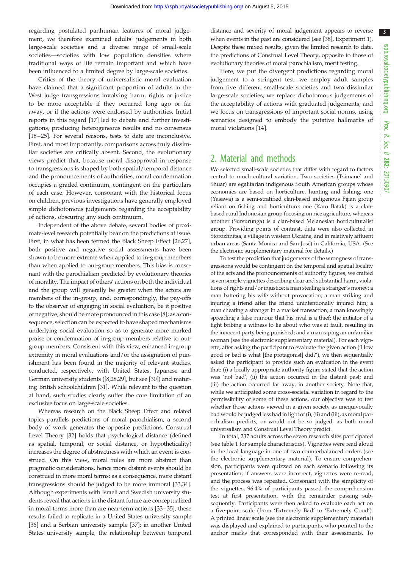regarding postulated panhuman features of moral judgement, we therefore examined adults' judgements in both large-scale societies and a diverse range of small-scale societies—societies with low population densities where traditional ways of life remain important and which have been influenced to a limited degree by large-scale societies.

Critics of the theory of universalistic moral evaluation have claimed that a significant proportion of adults in the West judge transgressions involving harm, rights or justice to be more acceptable if they occurred long ago or far away, or if the actions were endorsed by authorities. Initial reports in this regard [\[17](#page-5-0)] led to debate and further investigations, producing heterogeneous results and no consensus [\[18](#page-5-0) –[25\]](#page-5-0). For several reasons, tests to date are inconclusive. First, and most importantly, comparisons across truly dissimilar societies are critically absent. Second, the evolutionary views predict that, because moral disapproval in response to transgressions is shaped by both spatial/temporal distance and the pronouncements of authorities, moral condemnation occupies a graded continuum, contingent on the particulars of each case. However, consonant with the historical focus on children, previous investigations have generally employed simple dichotomous judgements regarding the acceptability of actions, obscuring any such continuum.

Independent of the above debate, several bodies of proximate-level research potentially bear on the predictions at issue. First, in what has been termed the Black Sheep Effect [[26](#page-5-0),[27](#page-5-0)], both positive and negative social assessments have been shown to be more extreme when applied to in-group members than when applied to out-group members. This bias is consonant with the parochialism predicted by evolutionary theories of morality. The impact of others' actions on both the individual and the group will generally be greater when the actors are members of the in-group, and, correspondingly, the pay-offs to the observer of engaging in social evaluation, be it positive or negative, should be more pronounced in this case [[8](#page-5-0)]; as a consequence, selection can be expected to have shaped mechanisms underlying social evaluation so as to generate more marked praise or condemnation of in-group members relative to outgroup members. Consistent with this view, enhanced in-group extremity in moral evaluations and/or the assignation of punishment has been found in the majority of relevant studies, conducted, respectively, with United States, Japanese and German university students ([\[8,28,29\]](#page-5-0), but see [\[30](#page-5-0)]) and maturing British schoolchildren [[31\]](#page-5-0). While relevant to the question at hand, such studies clearly suffer the core limitation of an exclusive focus on large-scale societies.

Whereas research on the Black Sheep Effect and related topics parallels predictions of moral parochialism, a second body of work generates the opposite predictions. Construal Level Theory [\[32](#page-5-0)] holds that psychological distance (defined as spatial, temporal, or social distance, or hypotheticality) increases the degree of abstractness with which an event is construed. On this view, moral rules are more abstract than pragmatic considerations, hence more distant events should be construed in more moral terms; as a consequence, more distant transgressions should be judged to be more immoral [[33,34](#page-5-0)]. Although experiments with Israeli and Swedish university students reveal that actions in the distant future are conceptualized in moral terms more than are near-term actions [\[33](#page-5-0)–[35\]](#page-5-0), these results failed to replicate in a United States university sample [\[36](#page-5-0)] and a Serbian university sample [\[37](#page-5-0)]; in another United States university sample, the relationship between temporal

distance and severity of moral judgement appears to reverse when events in the past are considered (see [\[38\]](#page-5-0), Experiment 1). Despite these mixed results, given the limited research to date, the predictions of Construal Level Theory, opposite to those of evolutionary theories of moral parochialism, merit testing.

Here, we put the divergent predictions regarding moral judgement to a stringent test: we employ adult samples from five different small-scale societies and two dissimilar large-scale societies; we replace dichotomous judgements of the acceptability of actions with graduated judgements; and we focus on transgressions of important social norms, using scenarios designed to embody the putative hallmarks of moral violations [\[14](#page-5-0)].

### 2. Material and methods

We selected small-scale societies that differ with regard to factors central to much cultural variation. Two societies (Tsimane' and Shuar) are egalitarian indigenous South American groups whose economies are based on horticulture, hunting and fishing; one (Yasawa) is a semi-stratified clan-based indigenous Fijian group reliant on fishing and horticulture; one (Karo Batak) is a clanbased rural Indonesian group focusing on rice agriculture, whereas another (Sursurunga) is a clan-based Melanesian horticulturalist group. Providing points of contrast, data were also collected in Storozhnitsa, a village in western Ukraine, and in relatively affluent urban areas (Santa Monica and San José) in California, USA. (See the electronic supplementary material for details.)

To test the prediction that judgements of the wrongness of transgressions would be contingent on the temporal and spatial locality of the acts and the pronouncements of authority figures, we crafted seven simple vignettes describing clear and substantial harm, violations of rights and/or injustice: a man stealing a stranger's money; a man battering his wife without provocation; a man striking and injuring a friend after the friend unintentionally injured him; a man cheating a stranger in a market transaction; a man knowingly spreading a false rumour that his rival is a thief; the initiator of a fight bribing a witness to lie about who was at fault, resulting in the innocent party being punished; and a man raping an unfamiliar woman (see the electronic supplementary material). For each vignette, after asking the participant to evaluate the given action ('How good or bad is what [the protagonist] did?'), we then sequentially asked the participant to provide such an evaluation in the event that: (i) a locally appropriate authority figure stated that the action was 'not bad'; (ii) the action occurred in the distant past; and (iii) the action occurred far away, in another society. Note that, while we anticipated some cross-societal variation in regard to the permissibility of some of these actions, our objective was to test whether those actions viewed in a given society as unequivocally bad would be judged less bad in light of (i), (ii) and (iii), asmoral parochialism predicts, or would not be so judged, as both moral universalism and Construal Level Theory predict.

In total, 237 adults across the seven research sites participated (see [table 1](#page-3-0) for sample characteristics). Vignettes were read aloud in the local language in one of two counterbalanced orders (see the electronic supplementary material). To ensure comprehension, participants were quizzed on each scenario following its presentation; if answers were incorrect, vignettes were re-read, and the process was repeated. Consonant with the simplicity of the vignettes, 96.4% of participants passed the comprehension test at first presentation, with the remainder passing subsequently. Participants were then asked to evaluate each act on a five-point scale (from 'Extremely Bad' to 'Extremely Good'). A printed linear scale (see the electronic supplementary material) was displayed and explained to participants, who pointed to the anchor marks that corresponded with their assessments. To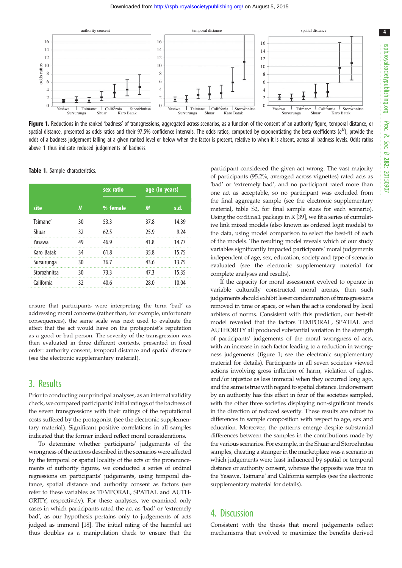<span id="page-3-0"></span>

Figure 1. Reductions in the ranked 'badness' of transgressions, aggregated across scenarios, as a function of the consent of an authority figure, temporal distance, or spatial distance, presented as odds ratios and their 97.5% confidence intervals. The odds ratios, computed by exponentiating the beta coefficients (e $^\beta$ ), provide the odds of a badness judgement falling at a given ranked level or below when the factor is present, relative to when it is absent, across all badness levels. Odds ratios above 1 thus indicate reduced judgements of badness.

|              |    | sex ratio | age (in years) |       |
|--------------|----|-----------|----------------|-------|
| site         | N  | % female  | М              | s.d.  |
| Tsimane'     | 30 | 53.3      | 37.8           | 14.39 |
| Shuar        | 32 | 62.5      | 25.9           | 9.24  |
| Yasawa       | 49 | 46.9      | 41.8           | 14.77 |
| Karo Batak   | 34 | 61.8      | 35.8           | 15.75 |
| Sursurunga   | 30 | 36.7      | 43.6           | 13.75 |
| Storozhnitsa | 30 | 73.3      | 47.3           | 15.35 |
| California   | 32 | 40.6      | 28.0           | 10.04 |

Table 1. Sample characteristics.

ensure that participants were interpreting the term 'bad' as addressing moral concerns (rather than, for example, unfortunate consequences), the same scale was next used to evaluate the effect that the act would have on the protagonist's reputation as a good or bad person. The severity of the transgression was then evaluated in three different contexts, presented in fixed order: authority consent, temporal distance and spatial distance (see the electronic supplementary material).

#### 3. Results

Prior to conducting our principal analyses, as an internal validity check, we compared participants' initial ratings of the badness of the seven transgressions with their ratings of the reputational costs suffered by the protagonist (see the electronic supplementary material). Significant positive correlations in all samples indicated that the former indeed reflect moral considerations.

To determine whether participants' judgements of the wrongness of the actions described in the scenarios were affected by the temporal or spatial locality of the acts or the pronouncements of authority figures, we conducted a series of ordinal regressions on participants' judgements, using temporal distance, spatial distance and authority consent as factors (we refer to these variables as TEMPORAL, SPATIAL and AUTH-ORITY, respectively). For these analyses, we examined only cases in which participants rated the act as 'bad' or 'extremely bad', as our hypothesis pertains only to judgements of acts judged as immoral [[18](#page-5-0)]. The initial rating of the harmful act thus doubles as a manipulation check to ensure that the participant considered the given act wrong. The vast majority of participants (95.2%, averaged across vignettes) rated acts as 'bad' or 'extremely bad', and no participant rated more than one act as acceptable, so no participant was excluded from the final aggregate sample (see the electronic supplementary material, table S2, for final sample sizes for each scenario). Using the ordinal package in R [[39](#page-5-0)], we fit a series of cumulative link mixed models (also known as ordered logit models) to the data, using model comparison to select the best-fit of each of the models. The resulting model reveals which of our study variables significantly impacted participants' moral judgements independent of age, sex, education, society and type of scenario evaluated (see the electronic supplementary material for complete analyses and results).

If the capacity for moral assessment evolved to operate in variable culturally constructed moral arenas, then such judgements should exhibit lesser condemnation of transgressions removed in time or space, or when the act is condoned by local arbiters of norms. Consistent with this prediction, our best-fit model revealed that the factors TEMPORAL, SPATIAL and AUTHORITY all produced substantial variation in the strength of participants' judgements of the moral wrongness of acts, with an increase in each factor leading to a reduction in wrongness judgements (figure 1; see the electronic supplementary material for details). Participants in all seven societies viewed actions involving gross infliction of harm, violation of rights, and/or injustice as less immoral when they occurred long ago, and the same is true with regard to spatial distance. Endorsement by an authority has this effect in four of the societies sampled, with the other three societies displaying non-significant trends in the direction of reduced severity. These results are robust to differences in sample composition with respect to age, sex and education. Moreover, the patterns emerge despite substantial differences between the samples in the contributions made by the various scenarios. For example, in the Shuar and Storozhnitsa samples, cheating a stranger in the marketplace was a scenario in which judgements were least influenced by spatial or temporal distance or authority consent, whereas the opposite was true in the Yasawa, Tsimane' and California samples (see the electronic supplementary material for details).

#### 4. Discussion

Consistent with the thesis that moral judgements reflect mechanisms that evolved to maximize the benefits derived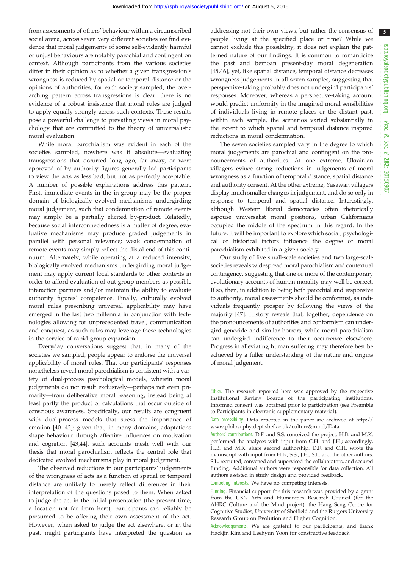from assessments of others' behaviour within a circumscribed social arena, across seven very different societies we find evidence that moral judgements of some self-evidently harmful or unjust behaviours are notably parochial and contingent on context. Although participants from the various societies differ in their opinion as to whether a given transgression's wrongness is reduced by spatial or temporal distance or the opinions of authorities, for each society sampled, the overarching pattern across transgressions is clear: there is no evidence of a robust insistence that moral rules are judged to apply equally strongly across such contexts. These results pose a powerful challenge to prevailing views in moral psychology that are committed to the theory of universalistic moral evaluation.

While moral parochialism was evident in each of the societies sampled, nowhere was it absolute—evaluating transgressions that occurred long ago, far away, or were approved of by authority figures generally led participants to view the acts as less bad, but not as perfectly acceptable. A number of possible explanations address this pattern. First, immediate events in the in-group may be the proper domain of biologically evolved mechanisms undergirding moral judgement, such that condemnation of remote events may simply be a partially elicited by-product. Relatedly, because social interconnectedness is a matter of degree, evaluative mechanisms may produce graded judgements in parallel with personal relevance; weak condemnation of remote events may simply reflect the distal end of this continuum. Alternately, while operating at a reduced intensity, biologically evolved mechanisms undergirding moral judgement may apply current local standards to other contexts in order to afford evaluation of out-group members as possible interaction partners and/or maintain the ability to evaluate authority figures' competence. Finally, culturally evolved moral rules prescribing universal applicability may have emerged in the last two millennia in conjunction with technologies allowing for unprecedented travel, communication and conquest, as such rules may leverage these technologies in the service of rapid group expansion.

Everyday conversations suggest that, in many of the societies we sampled, people appear to endorse the universal applicability of moral rules. That our participants' responses nonetheless reveal moral parochialism is consistent with a variety of dual-process psychological models, wherein moral judgements do not result exclusively—perhaps not even primarily—from deliberative moral reasoning, instead being at least partly the product of calculations that occur outside of conscious awareness. Specifically, our results are congruent with dual-process models that stress the importance of emotion [\[40](#page-5-0)–[42](#page-5-0)]: given that, in many domains, adaptations shape behaviour through affective influences on motivation and cognition [\[43,44\]](#page-5-0), such accounts mesh well with our thesis that moral parochialism reflects the central role that dedicated evolved mechanisms play in moral judgement.

The observed reductions in our participants' judgements of the wrongness of acts as a function of spatial or temporal distance are unlikely to merely reflect differences in their interpretation of the questions posed to them. When asked to judge the act in the initial presentation (the present time; a location not far from here), participants can reliably be presumed to be offering their own assessment of the act. However, when asked to judge the act elsewhere, or in the past, might participants have interpreted the question as addressing not their own views, but rather the consensus of people living at the specified place or time? While we cannot exclude this possibility, it does not explain the patterned nature of our findings. It is common to romanticize the past and bemoan present-day moral degeneration [[45,46\]](#page-5-0), yet, like spatial distance, temporal distance decreases wrongness judgements in all seven samples, suggesting that perspective-taking probably does not undergird participants' responses. Moreover, whereas a perspective-taking account would predict uniformity in the imagined moral sensibilities of individuals living in remote places or the distant past, within each sample, the scenarios varied substantially in the extent to which spatial and temporal distance inspired reductions in moral condemnation.

The seven societies sampled vary in the degree to which moral judgements are parochial and contingent on the pronouncements of authorities. At one extreme, Ukrainian villagers evince strong reductions in judgements of moral wrongness as a function of temporal distance, spatial distance and authority consent. At the other extreme, Yasawan villagers display much smaller changes in judgement, and do so only in response to temporal and spatial distance. Interestingly, although Western liberal democracies often rhetorically espouse universalist moral positions, urban Californians occupied the middle of the spectrum in this regard. In the future, it will be important to explore which social, psychological or historical factors influence the degree of moral parochialism exhibited in a given society.

Our study of five small-scale societies and two large-scale societies reveals widespread moral parochialism and contextual contingency, suggesting that one or more of the contemporary evolutionary accounts of human morality may well be correct. If so, then, in addition to being both parochial and responsive to authority, moral assessments should be conformist, as individuals frequently prosper by following the views of the majority [\[47](#page-5-0)]. History reveals that, together, dependence on the pronouncements of authorities and conformism can undergird genocide and similar horrors, while moral parochialism can undergird indifference to their occurrence elsewhere. Progress in alleviating human suffering may therefore best be achieved by a fuller understanding of the nature and origins of moral judgement.

Ethics. The research reported here was approved by the respective Institutional Review Boards of the participating institutions. Informed consent was obtained prior to participation (see Preamble to Participants in electronic supplementary material).

Data accessibility. Data reported in the paper are archived at [http://](http://www.philosophy.dept.shef.ac.uk/culture&mind/Data) [www.philosophy.dept.shef.ac.uk/culture&mind/Data.](http://www.philosophy.dept.shef.ac.uk/culture&mind/Data)

Authors' contributions. D.F. and S.S. conceived the project. H.B. and M.K. performed the analyses with input from C.H. and J.H.; accordingly, H.B. and M.K. share second authorship. D.F. and C.H. wrote the manuscript with input from H.B., S.S., J.H., S.L. and the other authors. S.L. recruited, convened and supervised the collaborators, and secured funding. Additional authors were responsible for data collection. All authors assisted in study design and provided feedback.

Competing interests. We have no competing interests.

Funding. Financial support for this research was provided by a grant from the UK's Arts and Humanities Research Council (for the AHRC Culture and the Mind project), the Hang Seng Centre for Cognitive Studies, University of Sheffield and the Rutgers University Research Group on Evolution and Higher Cognition.

Acknowledgements. We are grateful to our participants, and thank Hackjin Kim and Leehyun Yoon for constructive feedback.